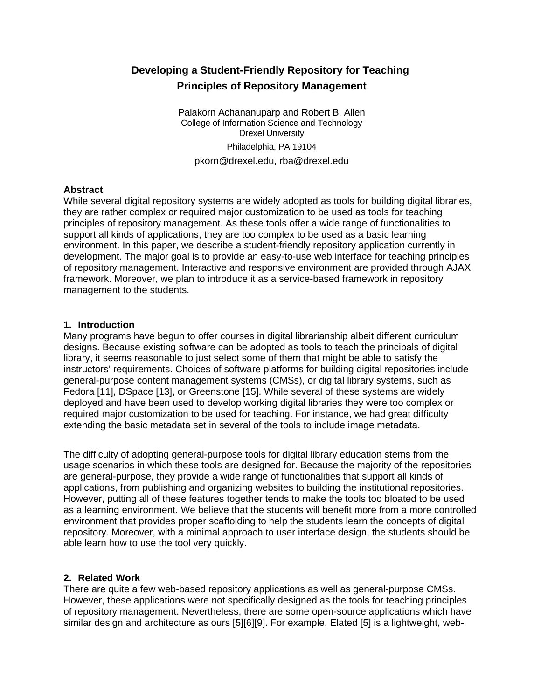# **Developing a Student-Friendly Repository for Teaching Principles of Repository Management**

Palakorn Achananuparp and Robert B. Allen College of Information Science and Technology Drexel University Philadelphia, PA 19104 pkorn@drexel.edu, rba@drexel.edu

#### **Abstract**

While several digital repository systems are widely adopted as tools for building digital libraries, they are rather complex or required major customization to be used as tools for teaching principles of repository management. As these tools offer a wide range of functionalities to support all kinds of applications, they are too complex to be used as a basic learning environment. In this paper, we describe a student-friendly repository application currently in development. The major goal is to provide an easy-to-use web interface for teaching principles of repository management. Interactive and responsive environment are provided through AJAX framework. Moreover, we plan to introduce it as a service-based framework in repository management to the students.

#### **1. Introduction**

Many programs have begun to offer courses in digital librarianship albeit different curriculum designs. Because existing software can be adopted as tools to teach the principals of digital library, it seems reasonable to just select some of them that might be able to satisfy the instructors' requirements. Choices of software platforms for building digital repositories include general-purpose content management systems (CMSs), or digital library systems, such as Fedora [11], DSpace [13], or Greenstone [15]. While several of these systems are widely deployed and have been used to develop working digital libraries they were too complex or required major customization to be used for teaching. For instance, we had great difficulty extending the basic metadata set in several of the tools to include image metadata.

The difficulty of adopting general-purpose tools for digital library education stems from the usage scenarios in which these tools are designed for. Because the majority of the repositories are general-purpose, they provide a wide range of functionalities that support all kinds of applications, from publishing and organizing websites to building the institutional repositories. However, putting all of these features together tends to make the tools too bloated to be used as a learning environment. We believe that the students will benefit more from a more controlled environment that provides proper scaffolding to help the students learn the concepts of digital repository. Moreover, with a minimal approach to user interface design, the students should be able learn how to use the tool very quickly.

## **2. Related Work**

There are quite a few web-based repository applications as well as general-purpose CMSs. However, these applications were not specifically designed as the tools for teaching principles of repository management. Nevertheless, there are some open-source applications which have similar design and architecture as ours [5][6][9]. For example, Elated [5] is a lightweight, web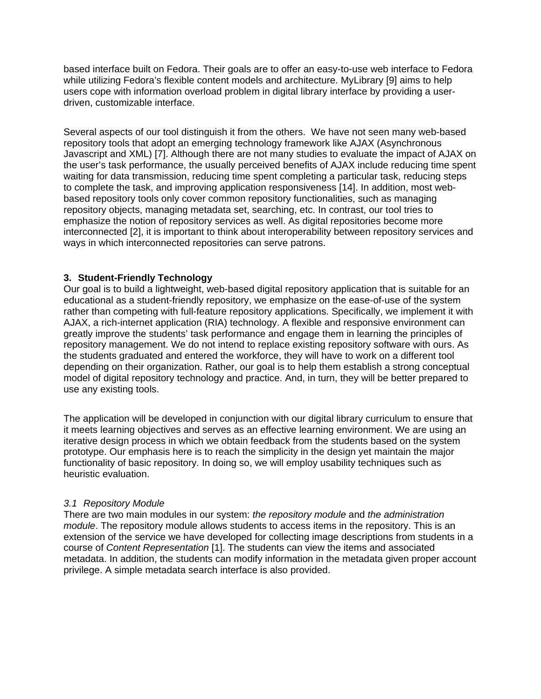based interface built on Fedora. Their goals are to offer an easy-to-use web interface to Fedora while utilizing Fedora's flexible content models and architecture. MyLibrary [9] aims to help users cope with information overload problem in digital library interface by providing a userdriven, customizable interface.

Several aspects of our tool distinguish it from the others. We have not seen many web-based repository tools that adopt an emerging technology framework like AJAX (Asynchronous Javascript and XML) [7]. Although there are not many studies to evaluate the impact of AJAX on the user's task performance, the usually perceived benefits of AJAX include reducing time spent waiting for data transmission, reducing time spent completing a particular task, reducing steps to complete the task, and improving application responsiveness [14]. In addition, most webbased repository tools only cover common repository functionalities, such as managing repository objects, managing metadata set, searching, etc. In contrast, our tool tries to emphasize the notion of repository services as well. As digital repositories become more interconnected [2], it is important to think about interoperability between repository services and ways in which interconnected repositories can serve patrons.

#### **3. Student-Friendly Technology**

Our goal is to build a lightweight, web-based digital repository application that is suitable for an educational as a student-friendly repository, we emphasize on the ease-of-use of the system rather than competing with full-feature repository applications. Specifically, we implement it with AJAX, a rich-internet application (RIA) technology. A flexible and responsive environment can greatly improve the students' task performance and engage them in learning the principles of repository management. We do not intend to replace existing repository software with ours. As the students graduated and entered the workforce, they will have to work on a different tool depending on their organization. Rather, our goal is to help them establish a strong conceptual model of digital repository technology and practice. And, in turn, they will be better prepared to use any existing tools.

The application will be developed in conjunction with our digital library curriculum to ensure that it meets learning objectives and serves as an effective learning environment. We are using an iterative design process in which we obtain feedback from the students based on the system prototype. Our emphasis here is to reach the simplicity in the design yet maintain the major functionality of basic repository. In doing so, we will employ usability techniques such as heuristic evaluation.

#### *3.1 Repository Module*

There are two main modules in our system: *the repository module* and *the administration module*. The repository module allows students to access items in the repository. This is an extension of the service we have developed for collecting image descriptions from students in a course of *Content Representation* [1]. The students can view the items and associated metadata. In addition, the students can modify information in the metadata given proper account privilege. A simple metadata search interface is also provided.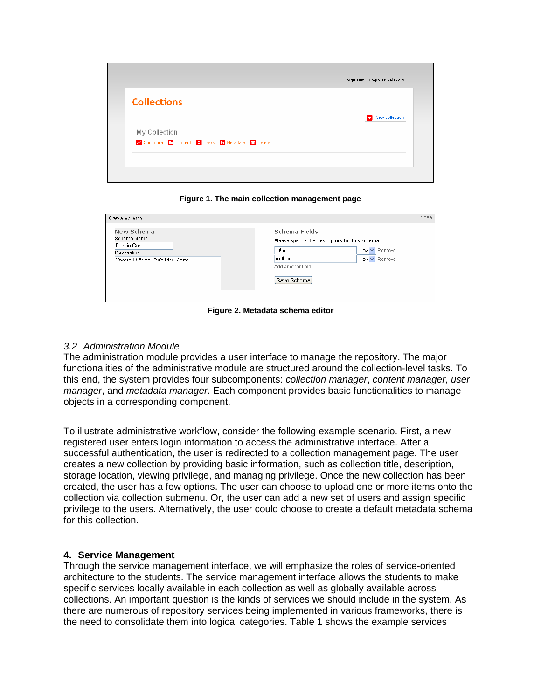| <b>Collections</b>                              |                |
|-------------------------------------------------|----------------|
|                                                 | New collection |
| My Collection                                   |                |
| Configure & Content & Users B Metadata m Delete |                |

**Figure 1. The main collection management page** 

| Create schema                                                                      | close                                                                                                                                                   |
|------------------------------------------------------------------------------------|---------------------------------------------------------------------------------------------------------------------------------------------------------|
| New Schema<br>Schema Name<br>Dublin Core<br>Description<br>Unqualified Dublin Core | Schema Fields<br>Please specify the descriptors for this schema.<br>Title<br>Tex • Remove<br>Author<br>Tex v Remove<br>Add another field<br>Save Schema |

**Figure 2. Metadata schema editor** 

#### *3.2 Administration Module*

The administration module provides a user interface to manage the repository. The major functionalities of the administrative module are structured around the collection-level tasks. To this end, the system provides four subcomponents: *collection manager*, *content manager*, *user manager*, and *metadata manager*. Each component provides basic functionalities to manage objects in a corresponding component.

To illustrate administrative workflow, consider the following example scenario. First, a new registered user enters login information to access the administrative interface. After a successful authentication, the user is redirected to a collection management page. The user creates a new collection by providing basic information, such as collection title, description, storage location, viewing privilege, and managing privilege. Once the new collection has been created, the user has a few options. The user can choose to upload one or more items onto the collection via collection submenu. Or, the user can add a new set of users and assign specific privilege to the users. Alternatively, the user could choose to create a default metadata schema for this collection.

#### **4. Service Management**

Through the service management interface, we will emphasize the roles of service-oriented architecture to the students. The service management interface allows the students to make specific services locally available in each collection as well as globally available across collections. An important question is the kinds of services we should include in the system. As there are numerous of repository services being implemented in various frameworks, there is the need to consolidate them into logical categories. Table 1 shows the example services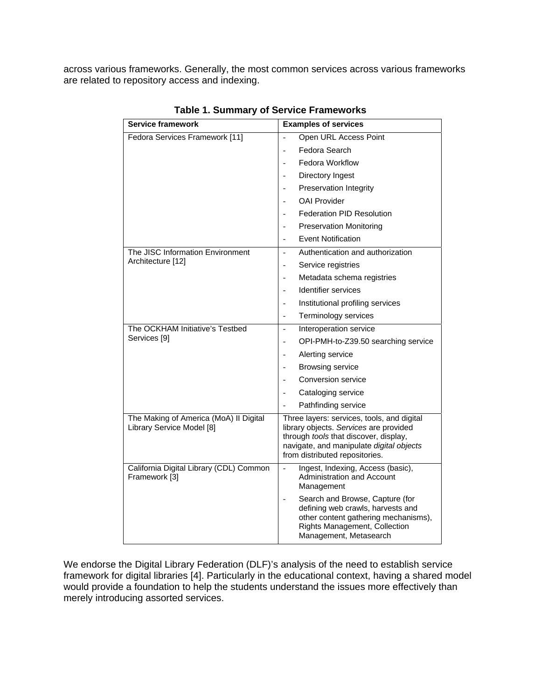across various frameworks. Generally, the most common services across various frameworks are related to repository access and indexing.

| <b>Service framework</b>                                            | <b>Examples of services</b>                                                                                                                                                                                                                                |
|---------------------------------------------------------------------|------------------------------------------------------------------------------------------------------------------------------------------------------------------------------------------------------------------------------------------------------------|
| Fedora Services Framework [11]                                      | Open URL Access Point                                                                                                                                                                                                                                      |
|                                                                     | Fedora Search                                                                                                                                                                                                                                              |
|                                                                     | <b>Fedora Workflow</b>                                                                                                                                                                                                                                     |
|                                                                     | Directory Ingest<br>$\overline{a}$                                                                                                                                                                                                                         |
|                                                                     | Preservation Integrity                                                                                                                                                                                                                                     |
|                                                                     | <b>OAI Provider</b>                                                                                                                                                                                                                                        |
|                                                                     | <b>Federation PID Resolution</b>                                                                                                                                                                                                                           |
|                                                                     | <b>Preservation Monitoring</b>                                                                                                                                                                                                                             |
|                                                                     | <b>Event Notification</b>                                                                                                                                                                                                                                  |
| The JISC Information Environment<br>Architecture [12]               | Authentication and authorization<br>$\overline{a}$                                                                                                                                                                                                         |
|                                                                     | Service registries<br>$\overline{\phantom{a}}$                                                                                                                                                                                                             |
|                                                                     | Metadata schema registries                                                                                                                                                                                                                                 |
|                                                                     | Identifier services                                                                                                                                                                                                                                        |
|                                                                     | Institutional profiling services<br>$\overline{a}$                                                                                                                                                                                                         |
|                                                                     | Terminology services<br>$\overline{a}$                                                                                                                                                                                                                     |
| The OCKHAM Initiative's Testbed<br>Services [9]                     | Interoperation service                                                                                                                                                                                                                                     |
|                                                                     | OPI-PMH-to-Z39.50 searching service                                                                                                                                                                                                                        |
|                                                                     | Alerting service                                                                                                                                                                                                                                           |
|                                                                     | <b>Browsing service</b>                                                                                                                                                                                                                                    |
|                                                                     | Conversion service                                                                                                                                                                                                                                         |
|                                                                     | Cataloging service                                                                                                                                                                                                                                         |
|                                                                     | Pathfinding service                                                                                                                                                                                                                                        |
| The Making of America (MoA) II Digital<br>Library Service Model [8] | Three layers: services, tools, and digital<br>library objects. Services are provided<br>through tools that discover, display,<br>navigate, and manipulate digital objects<br>from distributed repositories.                                                |
| California Digital Library (CDL) Common<br>Framework [3]            | Ingest, Indexing, Access (basic),<br>$\overline{\phantom{0}}$<br>Administration and Account<br>Management<br>Search and Browse, Capture (for<br>defining web crawls, harvests and<br>other content gathering mechanisms),<br>Rights Management, Collection |
|                                                                     | Management, Metasearch                                                                                                                                                                                                                                     |

**Table 1. Summary of Service Frameworks** 

We endorse the Digital Library Federation (DLF)'s analysis of the need to establish service framework for digital libraries [4]. Particularly in the educational context, having a shared model would provide a foundation to help the students understand the issues more effectively than merely introducing assorted services.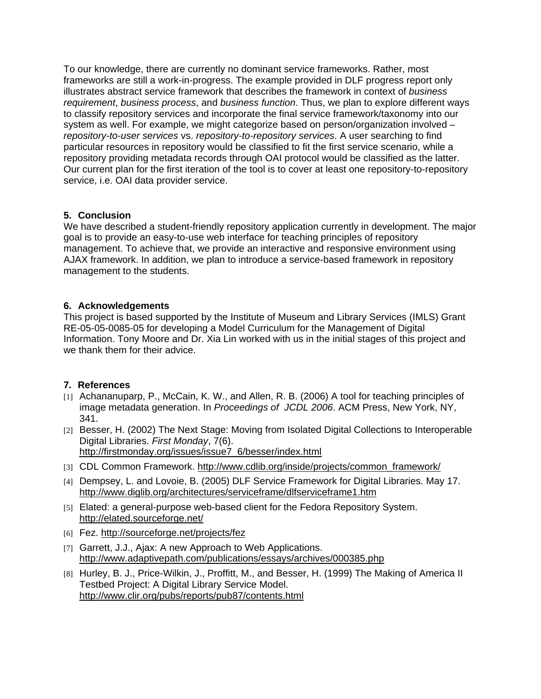To our knowledge, there are currently no dominant service frameworks. Rather, most frameworks are still a work-in-progress. The example provided in DLF progress report only illustrates abstract service framework that describes the framework in context of *business requirement*, *business process*, and *business function*. Thus, we plan to explore different ways to classify repository services and incorporate the final service framework/taxonomy into our system as well. For example, we might categorize based on person/organization involved – *repository-to-user services* vs. *repository-to-repository services*. A user searching to find particular resources in repository would be classified to fit the first service scenario, while a repository providing metadata records through OAI protocol would be classified as the latter. Our current plan for the first iteration of the tool is to cover at least one repository-to-repository service, i.e. OAI data provider service.

## **5. Conclusion**

We have described a student-friendly repository application currently in development. The major goal is to provide an easy-to-use web interface for teaching principles of repository management. To achieve that, we provide an interactive and responsive environment using AJAX framework. In addition, we plan to introduce a service-based framework in repository management to the students.

# **6. Acknowledgements**

This project is based supported by the Institute of Museum and Library Services (IMLS) Grant RE-05-05-0085-05 for developing a Model Curriculum for the Management of Digital Information. Tony Moore and Dr. Xia Lin worked with us in the initial stages of this project and we thank them for their advice.

## **7. References**

- [1] Achananuparp, P., McCain, K. W., and Allen, R. B. (2006) A tool for teaching principles of image metadata generation. In *Proceedings of JCDL 2006*. ACM Press, New York, NY, 341.
- [2] Besser, H. (2002) The Next Stage: Moving from Isolated Digital Collections to Interoperable Digital Libraries. *First Monday*, 7(6). http://firstmonday.org/issues/issue7\_6/besser/index.html
- [3] CDL Common Framework. http://www.cdlib.org/inside/projects/common\_framework/
- [4] Dempsey, L. and Lovoie, B. (2005) DLF Service Framework for Digital Libraries. May 17. http://www.diglib.org/architectures/serviceframe/dlfserviceframe1.htm
- [5] Elated: a general-purpose web-based client for the Fedora Repository System. http://elated.sourceforge.net/
- [6] Fez. http://sourceforge.net/projects/fez
- [7] Garrett, J.J., Ajax: A new Approach to Web Applications. http://www.adaptivepath.com/publications/essays/archives/000385.php
- [8] Hurley, B. J., Price-Wilkin, J., Proffitt, M., and Besser, H. (1999) The Making of America II Testbed Project: A Digital Library Service Model. http://www.clir.org/pubs/reports/pub87/contents.html